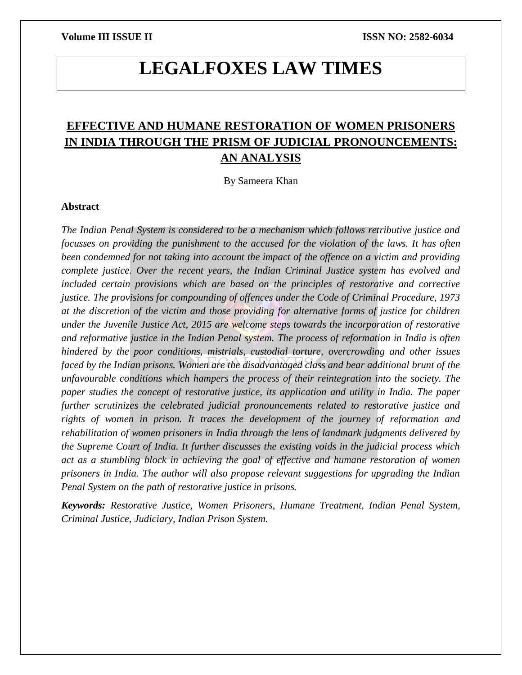# **LEGALFOXES LAW TIMES**

## **EFFECTIVE AND HUMANE RESTORATION OF WOMEN PRISONERS IN INDIA THROUGH THE PRISM OF JUDICIAL PRONOUNCEMENTS: AN ANALYSIS**

By Sameera Khan

### **Abstract**

*The Indian Penal System is considered to be a mechanism which follows retributive justice and focusses on providing the punishment to the accused for the violation of the laws. It has often been condemned for not taking into account the impact of the offence on a victim and providing complete justice. Over the recent years, the Indian Criminal Justice system has evolved and included certain provisions which are based on the principles of restorative and corrective justice. The provisions for compounding of offences under the Code of Criminal Procedure, 1973 at the discretion of the victim and those providing for alternative forms of justice for children under the Juvenile Justice Act, 2015 are welcome steps towards the incorporation of restorative and reformative justice in the Indian Penal system. The process of reformation in India is often hindered by the poor conditions, mistrials, custodial torture, overcrowding and other issues faced by the Indian prisons. Women are the disadvantaged class and bear additional brunt of the unfavourable conditions which hampers the process of their reintegration into the society. The paper studies the concept of restorative justice, its application and utility in India. The paper further scrutinizes the celebrated judicial pronouncements related to restorative justice and rights of women in prison. It traces the development of the journey of reformation and rehabilitation of women prisoners in India through the lens of landmark judgments delivered by the Supreme Court of India. It further discusses the existing voids in the judicial process which act as a stumbling block in achieving the goal of effective and humane restoration of women prisoners in India. The author will also propose relevant suggestions for upgrading the Indian Penal System on the path of restorative justice in prisons.* 

*Keywords: Restorative Justice, Women Prisoners, Humane Treatment, Indian Penal System, Criminal Justice, Judiciary, Indian Prison System.*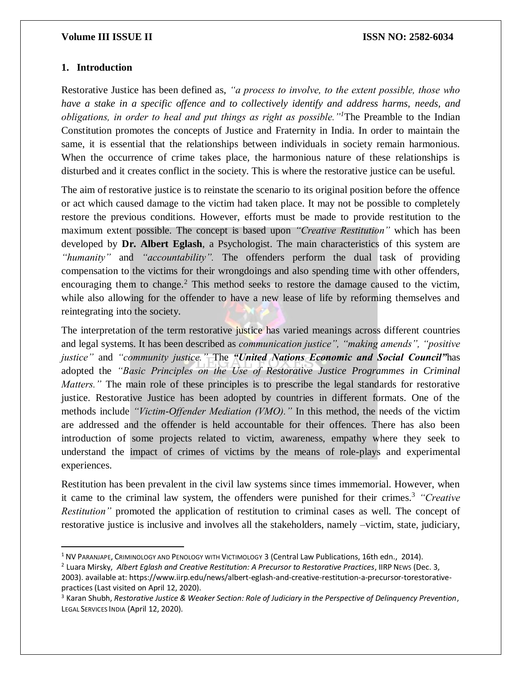#### **1. Introduction**

 $\overline{\phantom{a}}$ 

Restorative Justice has been defined as, *"a process to involve, to the extent possible, those who have a stake in a specific offence and to collectively identify and address harms, needs, and obligations, in order to heal and put things as right as possible."<sup>1</sup>*The Preamble to the Indian Constitution promotes the concepts of Justice and Fraternity in India. In order to maintain the same, it is essential that the relationships between individuals in society remain harmonious. When the occurrence of crime takes place, the harmonious nature of these relationships is disturbed and it creates conflict in the society. This is where the restorative justice can be useful.

The aim of restorative justice is to reinstate the scenario to its original position before the offence or act which caused damage to the victim had taken place. It may not be possible to completely restore the previous conditions. However, efforts must be made to provide restitution to the maximum extent possible. The concept is based upon *"Creative Restitution"* which has been developed by **Dr. Albert Eglash**, a Psychologist. The main characteristics of this system are *"humanity"* and *"accountability".* The offenders perform the dual task of providing compensation to the victims for their wrongdoings and also spending time with other offenders, encouraging them to change.<sup>2</sup> This method seeks to restore the damage caused to the victim, while also allowing for the offender to have a new lease of life by reforming themselves and reintegrating into the society.

The interpretation of the term restorative justice has varied meanings across different countries and legal systems. It has been described as *communication justice", "making amends", "positive justice"* and *"community justice."* The *"United Nations Economic and Social Council"*has adopted the *"Basic Principles on the Use of Restorative Justice Programmes in Criminal Matters.*" The main role of these principles is to prescribe the legal standards for restorative justice. Restorative Justice has been adopted by countries in different formats. One of the methods include *"Victim-Offender Mediation (VMO)."* In this method, the needs of the victim are addressed and the offender is held accountable for their offences. There has also been introduction of some projects related to victim, awareness, empathy where they seek to understand the impact of crimes of victims by the means of role-plays and experimental experiences.

Restitution has been prevalent in the civil law systems since times immemorial. However, when it came to the criminal law system, the offenders were punished for their crimes.<sup>3</sup> *"Creative Restitution"* promoted the application of restitution to criminal cases as well. The concept of restorative justice is inclusive and involves all the stakeholders, namely –victim, state, judiciary,

<sup>&</sup>lt;sup>1</sup> NV PARANJAPE, CRIMINOLOGY AND PENOLOGY WITH VICTIMOLOGY 3 (Central Law Publications, 16th edn., 2014).

<sup>2</sup> Luara Mirsky, *Albert Eglash and Creative Restitution: A Precursor to Restorative Practices*, IIRP NEWS (Dec. 3, 2003). available at: https://www.iirp.edu/news/albert-eglash-and-creative-restitution-a-precursor-torestorativepractices (Last visited on April 12, 2020).

<sup>3</sup> Karan Shubh, *Restorative Justice & Weaker Section: Role of Judiciary in the Perspective of Delinquency Prevention*, LEGAL SERVICES INDIA (April 12, 2020).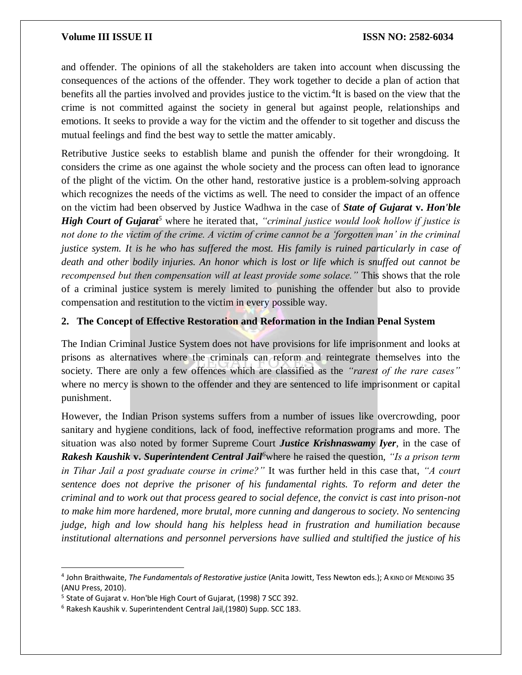and offender. The opinions of all the stakeholders are taken into account when discussing the consequences of the actions of the offender. They work together to decide a plan of action that benefits all the parties involved and provides justice to the victim.<sup>4</sup>It is based on the view that the crime is not committed against the society in general but against people, relationships and emotions. It seeks to provide a way for the victim and the offender to sit together and discuss the mutual feelings and find the best way to settle the matter amicably.

Retributive Justice seeks to establish blame and punish the offender for their wrongdoing. It considers the crime as one against the whole society and the process can often lead to ignorance of the plight of the victim. On the other hand, restorative justice is a problem-solving approach which recognizes the needs of the victims as well. The need to consider the impact of an offence on the victim had been observed by Justice Wadhwa in the case of *State of Gujarat* **v.** *Hon'ble High Court of Gujarat<sup>5</sup>* where he iterated that, *"criminal justice would look hollow if justice is not done to the victim of the crime. A victim of crime cannot be a 'forgotten man' in the criminal justice system. It is he who has suffered the most. His family is ruined particularly in case of death and other bodily injuries. An honor which is lost or life which is snuffed out cannot be recompensed but then compensation will at least provide some solace."* This shows that the role of a criminal justice system is merely limited to punishing the offender but also to provide compensation and restitution to the victim in every possible way.

#### **2. The Concept of Effective Restoration and Reformation in the Indian Penal System**

The Indian Criminal Justice System does not have provisions for life imprisonment and looks at prisons as alternatives where the criminals can reform and reintegrate themselves into the society. There are only a few offences which are classified as the *"rarest of the rare cases"*  where no mercy is shown to the offender and they are sentenced to life imprisonment or capital punishment.

However, the Indian Prison systems suffers from a number of issues like overcrowding, poor sanitary and hygiene conditions, lack of food, ineffective reformation programs and more. The situation was also noted by former Supreme Court *Justice Krishnaswamy Iyer*, in the case of *Rakesh Kaushik* **v.** *Superintendent Central Jail<sup>6</sup>*where he raised the question, *"Is a prison term in Tihar Jail a post graduate course in crime?"* It was further held in this case that, *"A court sentence does not deprive the prisoner of his fundamental rights. To reform and deter the criminal and to work out that process geared to social defence, the convict is cast into prison-not to make him more hardened, more brutal, more cunning and dangerous to society. No sentencing judge, high and low should hang his helpless head in frustration and humiliation because institutional alternations and personnel perversions have sullied and stultified the justice of his* 

<sup>4</sup> John Braithwaite, *The Fundamentals of Restorative justice* (Anita Jowitt, Tess Newton eds.); A KIND OF MENDING 35 (ANU Press, 2010).

<sup>5</sup> State of Gujarat v. Hon'ble High Court of Gujarat*,* (1998) 7 SCC 392.

<sup>6</sup> Rakesh Kaushik v. Superintendent Central Jail*,*(1980) Supp. SCC 183.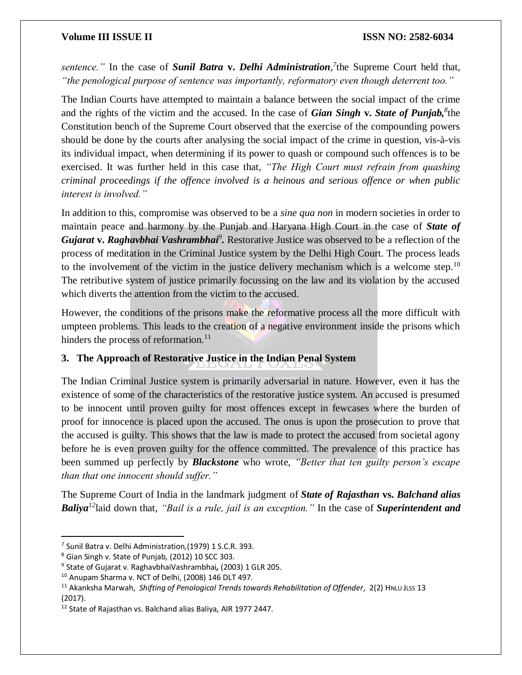*sentence."* In the case of *Sunil Batra* **v.** *Delhi Administration, 7* the Supreme Court held that, *"the penological purpose of sentence was importantly, reformatory even though deterrent too."*

The Indian Courts have attempted to maintain a balance between the social impact of the crime and the rights of the victim and the accused. In the case of *Gian Singh* **v.** *State of Punjab,<sup>8</sup>* the Constitution bench of the Supreme Court observed that the exercise of the compounding powers should be done by the courts after analysing the social impact of the crime in question, vis-à-vis its individual impact, when determining if its power to quash or compound such offences is to be exercised. It was further held in this case that, *"The High Court must refrain from quashing criminal proceedings if the offence involved is a heinous and serious offence or when public interest is involved."* 

In addition to this, compromise was observed to be a *sine qua non* in modern societies in order to maintain peace and harmony by the Punjab and Haryana High Court in the case of *State of*  Gujarat **v. Raghavbhai Vashrambhai**<sup>9</sup>. Restorative Justice was observed to be a reflection of the process of meditation in the Criminal Justice system by the Delhi High Court. The process leads to the involvement of the victim in the justice delivery mechanism which is a welcome step.<sup>10</sup> The retributive system of justice primarily focussing on the law and its violation by the accused which diverts the attention from the victim to the accused.

However, the conditions of the prisons make the reformative process all the more difficult with umpteen problems. This leads to the creation of a negative environment inside the prisons which hinders the process of reformation. $11$ 

### **3. The Approach of Restorative Justice in the Indian Penal System**

The Indian Criminal Justice system is primarily adversarial in nature. However, even it has the existence of some of the characteristics of the restorative justice system. An accused is presumed to be innocent until proven guilty for most offences except in fewcases where the burden of proof for innocence is placed upon the accused. The onus is upon the prosecution to prove that the accused is guilty. This shows that the law is made to protect the accused from societal agony before he is even proven guilty for the offence committed. The prevalence of this practice has been summed up perfectly by *Blackstone* who wrote, *"Better that ten guilty person's escape than that one innocent should suffer."*

The Supreme Court of India in the landmark judgment of *State of Rajasthan* **vs.** *Balchand alias Baliya<sup>12</sup>*laid down that, *"Bail is a rule, jail is an exception."* In the case of *Superintendent and* 

<sup>7</sup> Sunil Batra v. Delhi Administration*,*(1979) 1 S.C.R. 393.

<sup>8</sup> Gian Singh v. State of Punjab*,* (2012) 10 SCC 303.

<sup>9</sup> State of Gujarat v. RaghavbhaiVashrambhai*,* (2003) 1 GLR 205.

<sup>10</sup> Anupam Sharma v. NCT of Delhi, (2008) 146 DLT 497.

<sup>&</sup>lt;sup>11</sup> Akanksha Marwah, *Shifting of Penological Trends towards Rehabilitation of Offender*, 2(2) HNLU JLSS 13 (2017).

<sup>12</sup> State of Rajasthan vs. Balchand alias Baliya*,* AIR 1977 2447.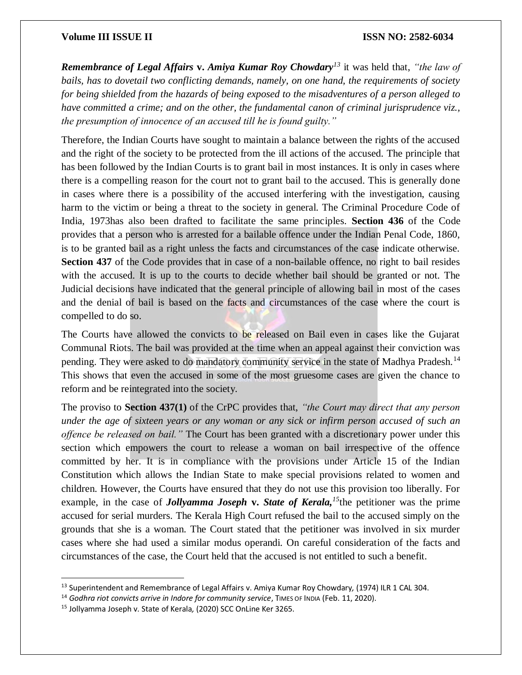*Remembrance of Legal Affairs* **v.** *Amiya Kumar Roy Chowdary<sup>13</sup>* it was held that, *"the law of bails, has to dovetail two conflicting demands, namely, on one hand, the requirements of society for being shielded from the hazards of being exposed to the misadventures of a person alleged to have committed a crime; and on the other, the fundamental canon of criminal jurisprudence viz., the presumption of innocence of an accused till he is found guilty."* 

Therefore, the Indian Courts have sought to maintain a balance between the rights of the accused and the right of the society to be protected from the ill actions of the accused. The principle that has been followed by the Indian Courts is to grant bail in most instances. It is only in cases where there is a compelling reason for the court not to grant bail to the accused. This is generally done in cases where there is a possibility of the accused interfering with the investigation, causing harm to the victim or being a threat to the society in general. The Criminal Procedure Code of India, 1973has also been drafted to facilitate the same principles. **Section 436** of the Code provides that a person who is arrested for a bailable offence under the Indian Penal Code, 1860, is to be granted bail as a right unless the facts and circumstances of the case indicate otherwise. **Section 437** of the Code provides that in case of a non-bailable offence, no right to bail resides with the accused. It is up to the courts to decide whether bail should be granted or not. The Judicial decisions have indicated that the general principle of allowing bail in most of the cases and the denial of bail is based on the facts and circumstances of the case where the court is compelled to do so.

The Courts have allowed the convicts to be released on Bail even in cases like the Gujarat Communal Riots. The bail was provided at the time when an appeal against their conviction was pending. They were asked to do mandatory community service in the state of Madhya Pradesh.<sup>14</sup> This shows that even the accused in some of the most gruesome cases are given the chance to reform and be reintegrated into the society.

The proviso to **Section 437(1)** of the CrPC provides that, *"the Court may direct that any person under the age of sixteen years or any woman or any sick or infirm person accused of such an offence be released on bail."* The Court has been granted with a discretionary power under this section which empowers the court to release a woman on bail irrespective of the offence committed by her. It is in compliance with the provisions under Article 15 of the Indian Constitution which allows the Indian State to make special provisions related to women and children. However, the Courts have ensured that they do not use this provision too liberally. For example, in the case of *Jollyamma Joseph* **v.** *State of Kerala,<sup>15</sup>*the petitioner was the prime accused for serial murders. The Kerala High Court refused the bail to the accused simply on the grounds that she is a woman. The Court stated that the petitioner was involved in six murder cases where she had used a similar modus operandi. On careful consideration of the facts and circumstances of the case, the Court held that the accused is not entitled to such a benefit.

<sup>13</sup> Superintendent and Remembrance of Legal Affairs v. Amiya Kumar Roy Chowdary*,* (1974) ILR 1 CAL 304.

<sup>&</sup>lt;sup>14</sup> Godhra riot convicts arrive in Indore for community service, TIMES OF INDIA (Feb. 11, 2020).

<sup>15</sup> Jollyamma Joseph v. State of Kerala*,* (2020) SCC OnLine Ker 3265.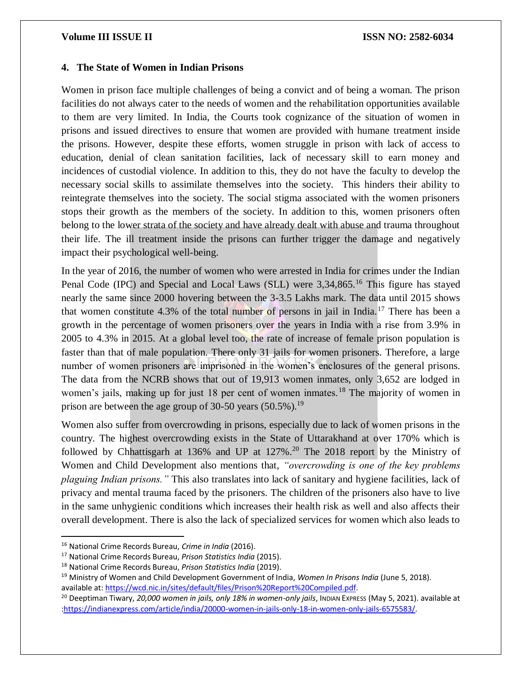#### **4. The State of Women in Indian Prisons**

Women in prison face multiple challenges of being a convict and of being a woman. The prison facilities do not always cater to the needs of women and the rehabilitation opportunities available to them are very limited. In India, the Courts took cognizance of the situation of women in prisons and issued directives to ensure that women are provided with humane treatment inside the prisons. However, despite these efforts, women struggle in prison with lack of access to education, denial of clean sanitation facilities, lack of necessary skill to earn money and incidences of custodial violence. In addition to this, they do not have the faculty to develop the necessary social skills to assimilate themselves into the society. This hinders their ability to reintegrate themselves into the society. The social stigma associated with the women prisoners stops their growth as the members of the society. In addition to this, women prisoners often belong to the lower strata of the society and have already dealt with abuse and trauma throughout their life. The ill treatment inside the prisons can further trigger the damage and negatively impact their psychological well-being.

In the year of 2016, the number of women who were arrested in India for crimes under the Indian Penal Code (IPC) and Special and Local Laws (SLL) were 3,34,865.<sup>16</sup> This figure has stayed nearly the same since 2000 hovering between the 3-3.5 Lakhs mark. The data until 2015 shows that women constitute 4.3% of the total number of persons in jail in India.<sup>17</sup> There has been a growth in the percentage of women prisoners over the years in India with a rise from 3.9% in 2005 to 4.3% in 2015. At a global level too, the rate of increase of female prison population is faster than that of male population. There only 31 jails for women prisoners. Therefore, a large number of women prisoners are imprisoned in the women's enclosures of the general prisons. The data from the NCRB shows that out of 19,913 women inmates, only 3,652 are lodged in women's jails, making up for just 18 per cent of women inmates.<sup>18</sup> The majority of women in prison are between the age group of 30-50 years  $(50.5\%)$ .<sup>19</sup>

Women also suffer from overcrowding in prisons, especially due to lack of women prisons in the country. The highest overcrowding exists in the State of Uttarakhand at over 170% which is followed by Chhattisgarh at 136% and UP at  $127\%$ <sup>20</sup> The 2018 report by the Ministry of Women and Child Development also mentions that, *"overcrowding is one of the key problems plaguing Indian prisons."* This also translates into lack of sanitary and hygiene facilities, lack of privacy and mental trauma faced by the prisoners. The children of the prisoners also have to live in the same unhygienic conditions which increases their health risk as well and also affects their overall development. There is also the lack of specialized services for women which also leads to

<sup>16</sup> National Crime Records Bureau, *Crime in India* (2016).

<sup>17</sup> National Crime Records Bureau, *Prison Statistics India* (2015).

<sup>18</sup> National Crime Records Bureau, *Prison Statistics India* (2019).

<sup>19</sup> Ministry of Women and Child Development Government of India, *Women In Prisons India* (June 5, 2018). available at[: https://wcd.nic.in/sites/default/files/Prison%20Report%20Compiled.pdf.](https://wcd.nic.in/sites/default/files/Prison%20Report%20Compiled.pdf)

<sup>&</sup>lt;sup>20</sup> Deeptiman Tiwary, *20,000 women in jails, only 18% in women-only jails*, Inpian Express (May 5, 2021). available at [:https://indianexpress.com/article/india/20000-women-in-jails-only-18-in-women-only-jails-6575583/.](https://indianexpress.com/article/india/20000-women-in-jails-only-18-in-women-only-jails-6575583/)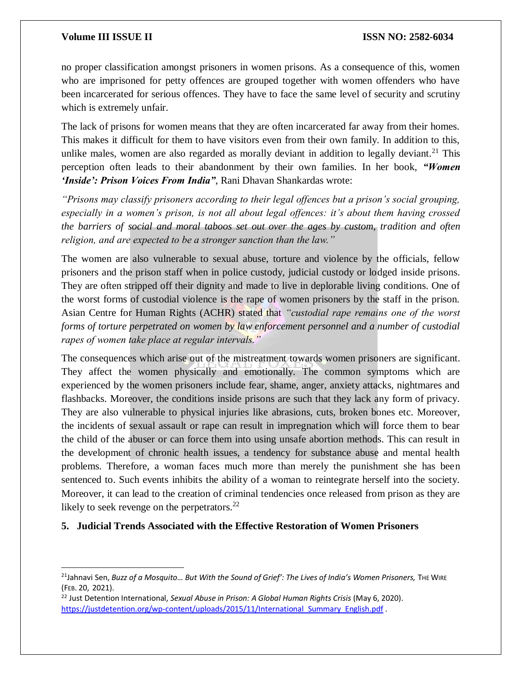$\overline{a}$ 

no proper classification amongst prisoners in women prisons. As a consequence of this, women who are imprisoned for petty offences are grouped together with women offenders who have been incarcerated for serious offences. They have to face the same level of security and scrutiny which is extremely unfair.

The lack of prisons for women means that they are often incarcerated far away from their homes. This makes it difficult for them to have visitors even from their own family. In addition to this, unlike males, women are also regarded as morally deviant in addition to legally deviant.<sup>21</sup> This perception often leads to their abandonment by their own families. In her book, *"Women 'Inside': Prison Voices From India"*, Rani Dhavan Shankardas wrote:

*"Prisons may classify prisoners according to their legal offences but a prison's social grouping, especially in a women's prison, is not all about legal offences: it's about them having crossed the barriers of social and moral taboos set out over the ages by custom, tradition and often religion, and are expected to be a stronger sanction than the law."*

The women are also vulnerable to sexual abuse, torture and violence by the officials, fellow prisoners and the prison staff when in police custody, judicial custody or lodged inside prisons. They are often stripped off their dignity and made to live in deplorable living conditions. One of the worst forms of custodial violence is the rape of women prisoners by the staff in the prison. Asian Centre for Human Rights (ACHR) stated that *"custodial rape remains one of the worst forms of torture perpetrated on women by law enforcement personnel and a number of custodial rapes of women take place at regular intervals."* 

The consequences which arise out of the mistreatment towards women prisoners are significant. They affect the women physically and emotionally. The common symptoms which are experienced by the women prisoners include fear, shame, anger, anxiety attacks, nightmares and flashbacks. Moreover, the conditions inside prisons are such that they lack any form of privacy. They are also vulnerable to physical injuries like abrasions, cuts, broken bones etc. Moreover, the incidents of sexual assault or rape can result in impregnation which will force them to bear the child of the abuser or can force them into using unsafe abortion methods. This can result in the development of chronic health issues, a tendency for substance abuse and mental health problems. Therefore, a woman faces much more than merely the punishment she has been sentenced to. Such events inhibits the ability of a woman to reintegrate herself into the society. Moreover, it can lead to the creation of criminal tendencies once released from prison as they are likely to seek revenge on the perpetrators. $^{22}$ 

### **5. Judicial Trends Associated with the Effective Restoration of Women Prisoners**

<sup>21</sup>Jahnavi Sen, *Buzz of a Mosquito… But With the Sound of Grief': The Lives of India's Women Prisoners,* THE WIRE (FEB. 20, 2021).

<sup>22</sup> Just Detention International, *Sexual Abuse in Prison: A Global Human Rights Crisis* (May 6, 2020). https://justdetention.org/wp-content/uploads/2015/11/International Summary English.pdf .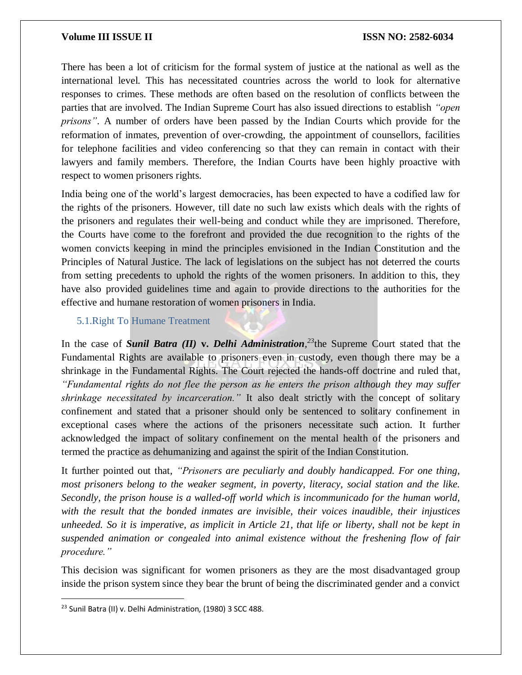There has been a lot of criticism for the formal system of justice at the national as well as the international level. This has necessitated countries across the world to look for alternative responses to crimes. These methods are often based on the resolution of conflicts between the parties that are involved. The Indian Supreme Court has also issued directions to establish *"open prisons"*. A number of orders have been passed by the Indian Courts which provide for the reformation of inmates, prevention of over-crowding, the appointment of counsellors, facilities for telephone facilities and video conferencing so that they can remain in contact with their lawyers and family members. Therefore, the Indian Courts have been highly proactive with respect to women prisoners rights.

India being one of the world's largest democracies, has been expected to have a codified law for the rights of the prisoners. However, till date no such law exists which deals with the rights of the prisoners and regulates their well-being and conduct while they are imprisoned. Therefore, the Courts have come to the forefront and provided the due recognition to the rights of the women convicts keeping in mind the principles envisioned in the Indian Constitution and the Principles of Natural Justice. The lack of legislations on the subject has not deterred the courts from setting precedents to uphold the rights of the women prisoners. In addition to this, they have also provided guidelines time and again to provide directions to the authorities for the effective and humane restoration of women prisoners in India.

#### 5.1.Right To Humane Treatment

In the case of *Sunil Batra (II)* **v.** *Delhi Administration, <sup>23</sup>*the Supreme Court stated that the Fundamental Rights are available to prisoners even in custody, even though there may be a shrinkage in the Fundamental Rights. The Court rejected the hands-off doctrine and ruled that, *"Fundamental rights do not flee the person as he enters the prison although they may suffer shrinkage necessitated by incarceration."* It also dealt strictly with the concept of solitary confinement and stated that a prisoner should only be sentenced to solitary confinement in exceptional cases where the actions of the prisoners necessitate such action. It further acknowledged the impact of solitary confinement on the mental health of the prisoners and termed the practice as dehumanizing and against the spirit of the Indian Constitution.

It further pointed out that, *"Prisoners are peculiarly and doubly handicapped. For one thing, most prisoners belong to the weaker segment, in poverty, literacy, social station and the like. Secondly, the prison house is a walled-off world which is incommunicado for the human world, with the result that the bonded inmates are invisible, their voices inaudible, their injustices unheeded. So it is imperative, as implicit in Article 21, that life or liberty, shall not be kept in suspended animation or congealed into animal existence without the freshening flow of fair procedure."*

This decision was significant for women prisoners as they are the most disadvantaged group inside the prison system since they bear the brunt of being the discriminated gender and a convict

<sup>23</sup> Sunil Batra (II) v. Delhi Administration*,* (1980) 3 SCC 488.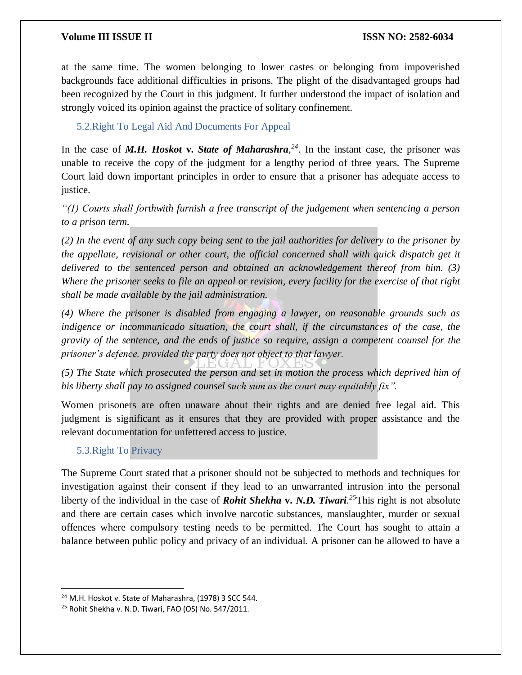at the same time. The women belonging to lower castes or belonging from impoverished backgrounds face additional difficulties in prisons. The plight of the disadvantaged groups had been recognized by the Court in this judgment. It further understood the impact of isolation and strongly voiced its opinion against the practice of solitary confinement.

5.2.Right To Legal Aid And Documents For Appeal

In the case of *M.H. Hoskot* **v.** *State of Maharashra*<sup> $24$ </sup>. In the instant case, the prisoner was unable to receive the copy of the judgment for a lengthy period of three years. The Supreme Court laid down important principles in order to ensure that a prisoner has adequate access to justice.

*"(1) Courts shall forthwith furnish a free transcript of the judgement when sentencing a person to a prison term.* 

*(2) In the event of any such copy being sent to the jail authorities for delivery to the prisoner by the appellate, revisional or other court, the official concerned shall with quick dispatch get it delivered to the sentenced person and obtained an acknowledgement thereof from him. (3) Where the prisoner seeks to file an appeal or revision, every facility for the exercise of that right shall be made available by the jail administration.* 

*(4) Where the prisoner is disabled from engaging a lawyer, on reasonable grounds such as indigence or incommunicado situation, the court shall, if the circumstances of the case, the gravity of the sentence, and the ends of justice so require, assign a competent counsel for the prisoner's defence, provided the party does not object to that lawyer.* 

*(5) The State which prosecuted the person and set in motion the process which deprived him of his liberty shall pay to assigned counsel such sum as the court may equitably fix".*

Women prisoners are often unaware about their rights and are denied free legal aid. This judgment is significant as it ensures that they are provided with proper assistance and the relevant documentation for unfettered access to justice.

### 5.3.Right To Privacy

 $\overline{\phantom{a}}$ 

The Supreme Court stated that a prisoner should not be subjected to methods and techniques for investigation against their consent if they lead to an unwarranted intrusion into the personal liberty of the individual in the case of *Rohit Shekha* **v.** *N.D. Tiwari. <sup>25</sup>*This right is not absolute and there are certain cases which involve narcotic substances, manslaughter, murder or sexual offences where compulsory testing needs to be permitted. The Court has sought to attain a balance between public policy and privacy of an individual. A prisoner can be allowed to have a

<sup>&</sup>lt;sup>24</sup> M.H. Hoskot v. State of Maharashra, (1978) 3 SCC 544.

<sup>&</sup>lt;sup>25</sup> Rohit Shekha v. N.D. Tiwari, FAO (OS) No. 547/2011.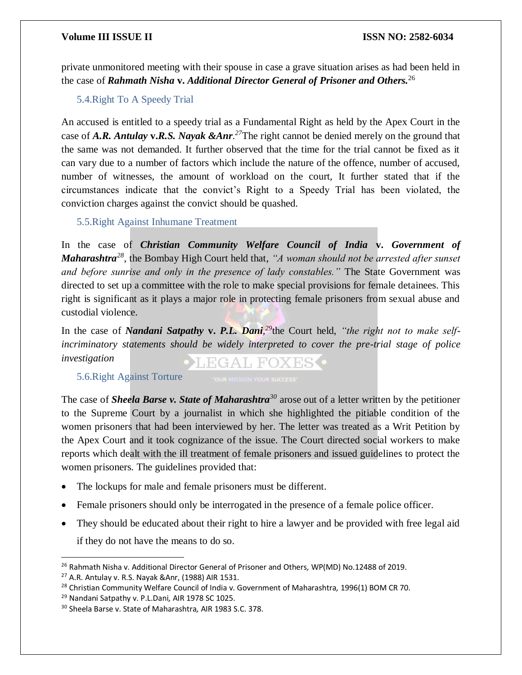private unmonitored meeting with their spouse in case a grave situation arises as had been held in the case of *Rahmath Nisha* **v.** *Additional Director General of Prisoner and Others.*<sup>26</sup>

5.4.Right To A Speedy Trial

An accused is entitled to a speedy trial as a Fundamental Right as held by the Apex Court in the case of *A.R. Antulay* **v.***R.S. Nayak &Anr. <sup>27</sup>*The right cannot be denied merely on the ground that the same was not demanded. It further observed that the time for the trial cannot be fixed as it can vary due to a number of factors which include the nature of the offence, number of accused, number of witnesses, the amount of workload on the court, It further stated that if the circumstances indicate that the convict's Right to a Speedy Trial has been violated, the conviction charges against the convict should be quashed.

5.5.Right Against Inhumane Treatment

In the case of *Christian Community Welfare Council of India* **v.** *Government of Maharashtra<sup>28</sup>*, the Bombay High Court held that, *"A woman should not be arrested after sunset and before sunrise and only in the presence of lady constables."* The State Government was directed to set up a committee with the role to make special provisions for female detainees. This right is significant as it plays a major role in protecting female prisoners from sexual abuse and custodial violence.

In the case of *Nandani Satpathy* **v.** *P.L. Dani, <sup>29</sup>*the Court held, *"the right not to make selfincriminatory statements should be widely interpreted to cover the pre-trial stage of police investigation* EGAL FOXES •

5.6.Right Against Torture

The case of *Sheela Barse v. State of Maharashtra<sup>30</sup>* arose out of a letter written by the petitioner to the Supreme Court by a journalist in which she highlighted the pitiable condition of the women prisoners that had been interviewed by her. The letter was treated as a Writ Petition by the Apex Court and it took cognizance of the issue. The Court directed social workers to make reports which dealt with the ill treatment of female prisoners and issued guidelines to protect the women prisoners. The guidelines provided that:

- The lockups for male and female prisoners must be different.
- Female prisoners should only be interrogated in the presence of a female police officer.
- They should be educated about their right to hire a lawyer and be provided with free legal aid if they do not have the means to do so.

 $\overline{\phantom{a}}$ 

<sup>26</sup> Rahmath Nisha v. Additional Director General of Prisoner and Others*,* WP(MD) No.12488 of 2019.

<sup>27</sup> A.R. Antulay v. R.S. Nayak &Anr, (1988) AIR 1531.

<sup>28</sup> Christian Community Welfare Council of India v. Government of Maharashtra*,* 1996(1) BOM CR 70.

<sup>29</sup> Nandani Satpathy v. P.L.Dani*,* AIR 1978 SC 1025.

<sup>30</sup> Sheela Barse v. State of Maharashtra*,* AIR 1983 S.C. 378.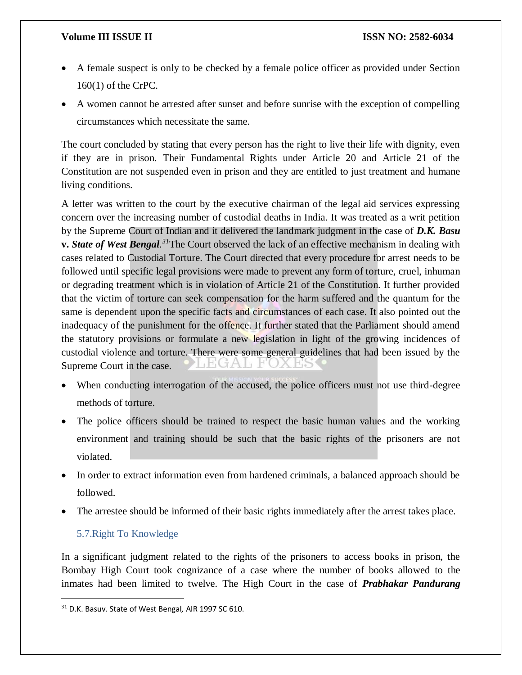- A female suspect is only to be checked by a female police officer as provided under Section 160(1) of the CrPC.
- A women cannot be arrested after sunset and before sunrise with the exception of compelling circumstances which necessitate the same.

The court concluded by stating that every person has the right to live their life with dignity, even if they are in prison. Their Fundamental Rights under Article 20 and Article 21 of the Constitution are not suspended even in prison and they are entitled to just treatment and humane living conditions.

A letter was written to the court by the executive chairman of the legal aid services expressing concern over the increasing number of custodial deaths in India. It was treated as a writ petition by the Supreme Court of Indian and it delivered the landmark judgment in the case of *D.K. Basu*  **v.** *State of West Bengal. <sup>31</sup>*The Court observed the lack of an effective mechanism in dealing with cases related to Custodial Torture. The Court directed that every procedure for arrest needs to be followed until specific legal provisions were made to prevent any form of torture, cruel, inhuman or degrading treatment which is in violation of Article 21 of the Constitution. It further provided that the victim of torture can seek compensation for the harm suffered and the quantum for the same is dependent upon the specific facts and circumstances of each case. It also pointed out the inadequacy of the punishment for the offence. It further stated that the Parliament should amend the statutory provisions or formulate a new legislation in light of the growing incidences of custodial violence and torture. There were some general guidelines that had been issued by the Supreme Court in the case.

- When conducting interrogation of the accused, the police officers must not use third-degree methods of torture.
- The police officers should be trained to respect the basic human values and the working environment and training should be such that the basic rights of the prisoners are not violated.
- In order to extract information even from hardened criminals, a balanced approach should be followed.
- The arrestee should be informed of their basic rights immediately after the arrest takes place.

### 5.7.Right To Knowledge

 $\overline{a}$ 

In a significant judgment related to the rights of the prisoners to access books in prison, the Bombay High Court took cognizance of a case where the number of books allowed to the inmates had been limited to twelve. The High Court in the case of *Prabhakar Pandurang* 

<sup>31</sup> D.K. Basuv. State of West Bengal*,* AIR 1997 SC 610.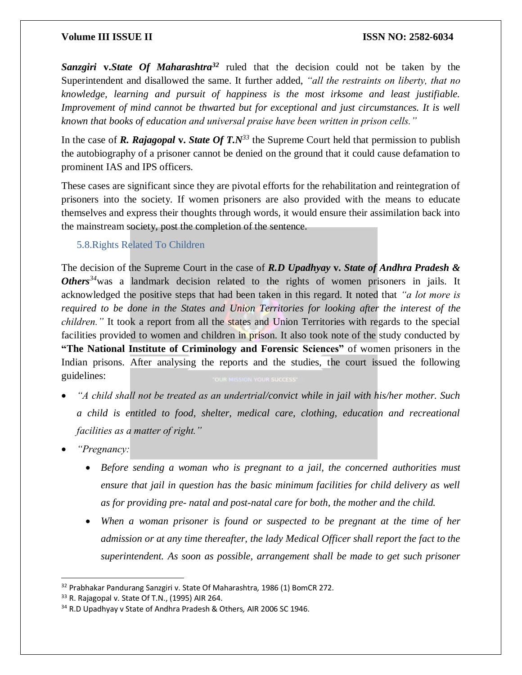*Sanzgiri* **v.***State Of Maharashtra<sup>32</sup>* ruled that the decision could not be taken by the Superintendent and disallowed the same. It further added, *"all the restraints on liberty, that no knowledge, learning and pursuit of happiness is the most irksome and least justifiable. Improvement of mind cannot be thwarted but for exceptional and just circumstances. It is well known that books of education and universal praise have been written in prison cells."* 

In the case of **R. Rajagopal v. State Of T.** $N^{33}$  the Supreme Court held that permission to publish the autobiography of a prisoner cannot be denied on the ground that it could cause defamation to prominent IAS and IPS officers.

These cases are significant since they are pivotal efforts for the rehabilitation and reintegration of prisoners into the society. If women prisoners are also provided with the means to educate themselves and express their thoughts through words, it would ensure their assimilation back into the mainstream society, post the completion of the sentence.

### 5.8.Rights Related To Children

The decision of the Supreme Court in the case of *R.D Upadhyay* **v.** *State of Andhra Pradesh & Others<sup>34</sup>*was a landmark decision related to the rights of women prisoners in jails. It acknowledged the positive steps that had been taken in this regard. It noted that *"a lot more is required to be done in the States and Union Territories for looking after the interest of the children.*" It took a report from all the states and Union Territories with regards to the special facilities provided to women and children in prison. It also took note of the study conducted by **"The National Institute of Criminology and Forensic Sciences"** of women prisoners in the Indian prisons. After analysing the reports and the studies, the court issued the following guidelines:

- *"A child shall not be treated as an undertrial/convict while in jail with his/her mother. Such a child is entitled to food, shelter, medical care, clothing, education and recreational facilities as a matter of right."*
- *"Pregnancy:*

- *Before sending a woman who is pregnant to a jail, the concerned authorities must ensure that jail in question has the basic minimum facilities for child delivery as well as for providing pre- natal and post-natal care for both, the mother and the child.*
- When a woman prisoner is found or suspected to be pregnant at the time of her *admission or at any time thereafter, the lady Medical Officer shall report the fact to the superintendent. As soon as possible, arrangement shall be made to get such prisoner*

<sup>32</sup> Prabhakar Pandurang Sanzgiri v. State Of Maharashtra*,* 1986 (1) BomCR 272.

 $33$  R. Rajagopal v. State Of T.N., (1995) AIR 264.

<sup>34</sup> R.D Upadhyay v State of Andhra Pradesh & Others*,* AIR 2006 SC 1946.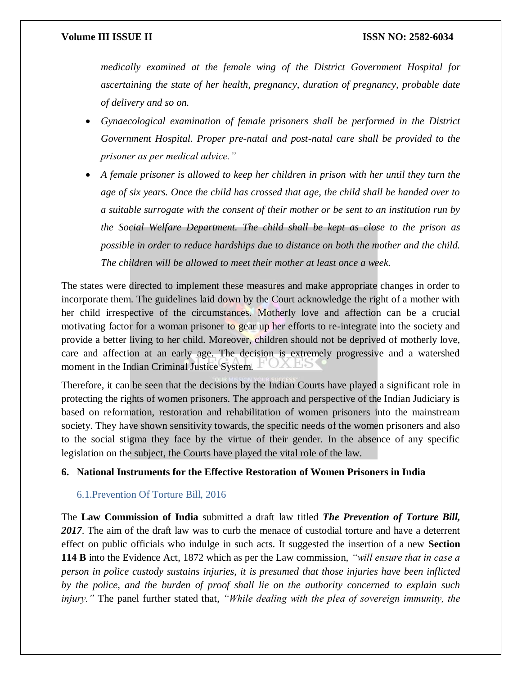*medically examined at the female wing of the District Government Hospital for ascertaining the state of her health, pregnancy, duration of pregnancy, probable date of delivery and so on.* 

- *Gynaecological examination of female prisoners shall be performed in the District Government Hospital. Proper pre-natal and post-natal care shall be provided to the prisoner as per medical advice."*
- *A female prisoner is allowed to keep her children in prison with her until they turn the age of six years. Once the child has crossed that age, the child shall be handed over to a suitable surrogate with the consent of their mother or be sent to an institution run by the Social Welfare Department. The child shall be kept as close to the prison as possible in order to reduce hardships due to distance on both the mother and the child. The children will be allowed to meet their mother at least once a week.*

The states were directed to implement these measures and make appropriate changes in order to incorporate them. The guidelines laid down by the Court acknowledge the right of a mother with her child irrespective of the circumstances. Motherly love and affection can be a crucial motivating factor for a woman prisoner to gear up her efforts to re-integrate into the society and provide a better living to her child. Moreover, children should not be deprived of motherly love, care and affection at an early age. The decision is extremely progressive and a watershed moment in the Indian Criminal Justice System.

Therefore, it can be seen that the decisions by the Indian Courts have played a significant role in protecting the rights of women prisoners. The approach and perspective of the Indian Judiciary is based on reformation, restoration and rehabilitation of women prisoners into the mainstream society. They have shown sensitivity towards, the specific needs of the women prisoners and also to the social stigma they face by the virtue of their gender. In the absence of any specific legislation on the subject, the Courts have played the vital role of the law.

#### **6. National Instruments for the Effective Restoration of Women Prisoners in India**

#### 6.1.Prevention Of Torture Bill, 2016

The **Law Commission of India** submitted a draft law titled *The Prevention of Torture Bill,*  2017. The aim of the draft law was to curb the menace of custodial torture and have a deterrent effect on public officials who indulge in such acts. It suggested the insertion of a new **Section 114 B** into the Evidence Act, 1872 which as per the Law commission, *"will ensure that in case a person in police custody sustains injuries, it is presumed that those injuries have been inflicted by the police, and the burden of proof shall lie on the authority concerned to explain such injury."* The panel further stated that, *"While dealing with the plea of sovereign immunity, the*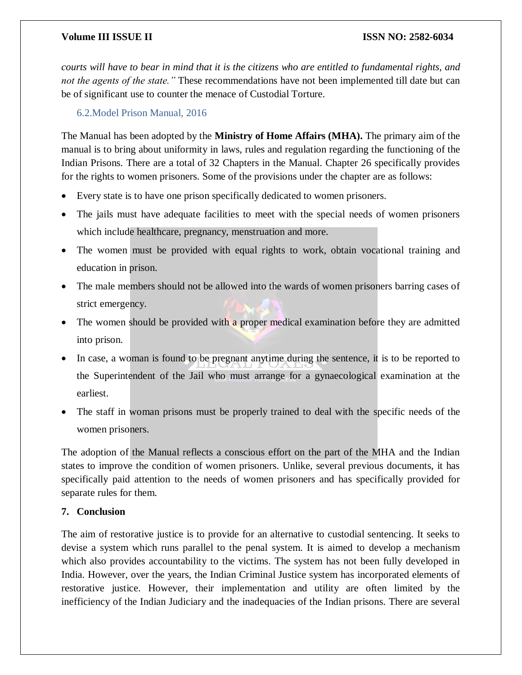*courts will have to bear in mind that it is the citizens who are entitled to fundamental rights, and not the agents of the state.* "These recommendations have not been implemented till date but can be of significant use to counter the menace of Custodial Torture.

6.2.Model Prison Manual, 2016

The Manual has been adopted by the **Ministry of Home Affairs (MHA).** The primary aim of the manual is to bring about uniformity in laws, rules and regulation regarding the functioning of the Indian Prisons. There are a total of 32 Chapters in the Manual. Chapter 26 specifically provides for the rights to women prisoners. Some of the provisions under the chapter are as follows:

- Every state is to have one prison specifically dedicated to women prisoners.
- The jails must have adequate facilities to meet with the special needs of women prisoners which include healthcare, pregnancy, menstruation and more.
- The women must be provided with equal rights to work, obtain vocational training and education in prison.
- The male members should not be allowed into the wards of women prisoners barring cases of strict emergency.
- The women should be provided with a proper medical examination before they are admitted into prison.
- In case, a woman is found to be pregnant anytime during the sentence, it is to be reported to the Superintendent of the Jail who must arrange for a gynaecological examination at the earliest.
- The staff in woman prisons must be properly trained to deal with the specific needs of the women prisoners.

The adoption of the Manual reflects a conscious effort on the part of the MHA and the Indian states to improve the condition of women prisoners. Unlike, several previous documents, it has specifically paid attention to the needs of women prisoners and has specifically provided for separate rules for them.

### **7. Conclusion**

The aim of restorative justice is to provide for an alternative to custodial sentencing. It seeks to devise a system which runs parallel to the penal system. It is aimed to develop a mechanism which also provides accountability to the victims. The system has not been fully developed in India. However, over the years, the Indian Criminal Justice system has incorporated elements of restorative justice. However, their implementation and utility are often limited by the inefficiency of the Indian Judiciary and the inadequacies of the Indian prisons. There are several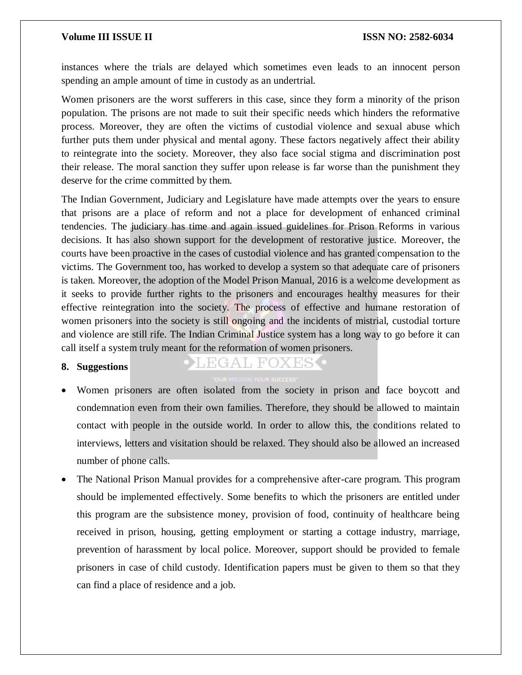instances where the trials are delayed which sometimes even leads to an innocent person spending an ample amount of time in custody as an undertrial.

Women prisoners are the worst sufferers in this case, since they form a minority of the prison population. The prisons are not made to suit their specific needs which hinders the reformative process. Moreover, they are often the victims of custodial violence and sexual abuse which further puts them under physical and mental agony. These factors negatively affect their ability to reintegrate into the society. Moreover, they also face social stigma and discrimination post their release. The moral sanction they suffer upon release is far worse than the punishment they deserve for the crime committed by them.

The Indian Government, Judiciary and Legislature have made attempts over the years to ensure that prisons are a place of reform and not a place for development of enhanced criminal tendencies. The judiciary has time and again issued guidelines for Prison Reforms in various decisions. It has also shown support for the development of restorative justice. Moreover, the courts have been proactive in the cases of custodial violence and has granted compensation to the victims. The Government too, has worked to develop a system so that adequate care of prisoners is taken. Moreover, the adoption of the Model Prison Manual, 2016 is a welcome development as it seeks to provide further rights to the prisoners and encourages healthy measures for their effective reintegration into the society. The process of effective and humane restoration of women prisoners into the society is still ongoing and the incidents of mistrial, custodial torture and violence are still rife. The Indian Criminal Justice system has a long way to go before it can call itself a system truly meant for the reformation of women prisoners.

### **8. Suggestions**

## EGAL FOXES

- Women prisoners are often isolated from the society in prison and face boycott and condemnation even from their own families. Therefore, they should be allowed to maintain contact with people in the outside world. In order to allow this, the conditions related to interviews, letters and visitation should be relaxed. They should also be allowed an increased number of phone calls.
- The National Prison Manual provides for a comprehensive after-care program. This program should be implemented effectively. Some benefits to which the prisoners are entitled under this program are the subsistence money, provision of food, continuity of healthcare being received in prison, housing, getting employment or starting a cottage industry, marriage, prevention of harassment by local police. Moreover, support should be provided to female prisoners in case of child custody. Identification papers must be given to them so that they can find a place of residence and a job.